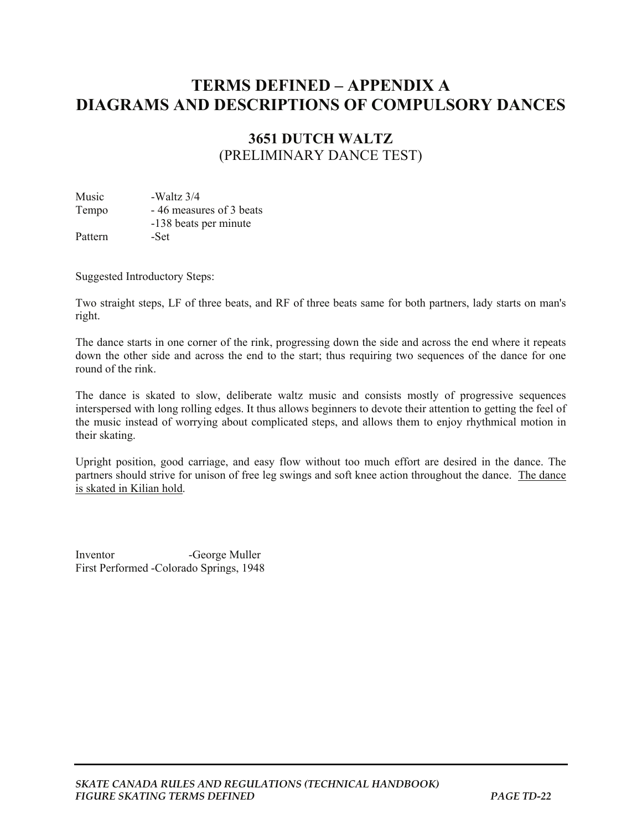## **TERMS DEFINED – APPENDIX A DIAGRAMS AND DESCRIPTIONS OF COMPULSORY DANCES**

## **3651 DUTCH WALTZ**  (PRELIMINARY DANCE TEST)

Music -Waltz 3/4 Tempo - 46 measures of 3 beats -138 beats per minute Pattern -Set

Suggested Introductory Steps:

Two straight steps, LF of three beats, and RF of three beats same for both partners, lady starts on man's right.

The dance starts in one corner of the rink, progressing down the side and across the end where it repeats down the other side and across the end to the start; thus requiring two sequences of the dance for one round of the rink.

The dance is skated to slow, deliberate waltz music and consists mostly of progressive sequences interspersed with long rolling edges. It thus allows beginners to devote their attention to getting the feel of the music instead of worrying about complicated steps, and allows them to enjoy rhythmical motion in their skating.

Upright position, good carriage, and easy flow without too much effort are desired in the dance. The partners should strive for unison of free leg swings and soft knee action throughout the dance. The dance is skated in Kilian hold.

Inventor -George Muller First Performed -Colorado Springs, 1948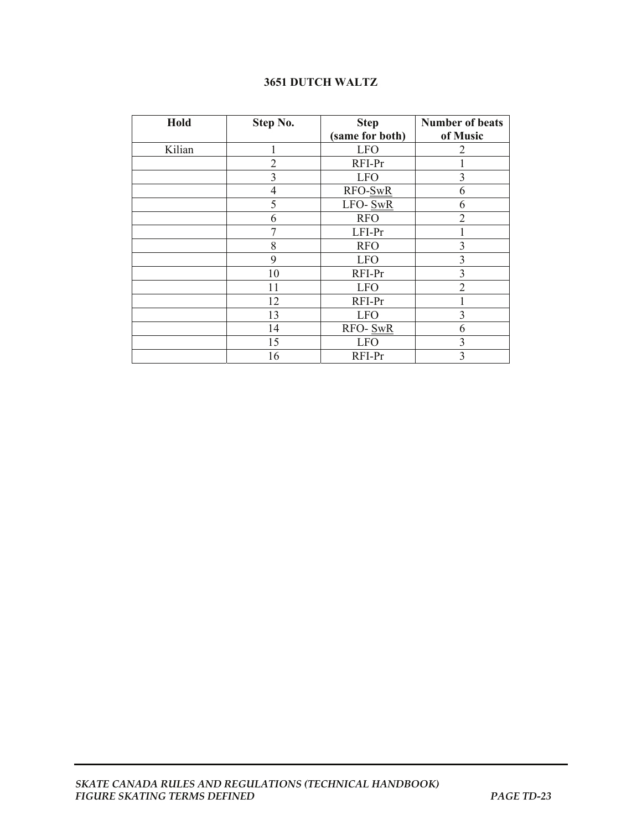## **3651 DUTCH WALTZ**

| Hold   | Step No.       | <b>Step</b>     | <b>Number of beats</b> |
|--------|----------------|-----------------|------------------------|
|        |                | (same for both) | of Music               |
| Kilian |                | <b>LFO</b>      | $\overline{2}$         |
|        | $\overline{2}$ | RFI-Pr          |                        |
|        | 3              | <b>LFO</b>      | 3                      |
|        | $\overline{4}$ | RFO-SwR         | 6                      |
|        | 5              | LFO-SwR         | 6                      |
|        | 6              | <b>RFO</b>      | 2                      |
|        |                | LFI-Pr          |                        |
|        | 8              | <b>RFO</b>      | 3                      |
|        | 9              | <b>LFO</b>      | 3                      |
|        | 10             | RFI-Pr          | 3                      |
|        | 11             | <b>LFO</b>      | $\overline{2}$         |
|        | 12             | RFI-Pr          |                        |
|        | 13             | <b>LFO</b>      | 3                      |
|        | 14             | RFO-SwR         | 6                      |
|        | 15             | <b>LFO</b>      | 3                      |
|        | 16             | RFI-Pr          | 3                      |